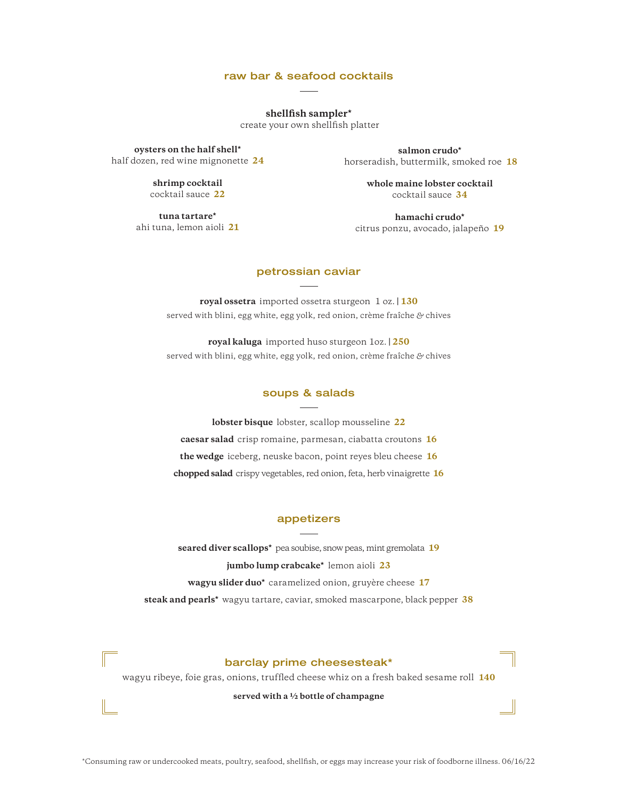# raw bar & seafood cocktails

**shellfish sampler\***

create your own shellfish platter

**oysters on the half shell\*** half dozen, red wine mignonette **24**

> **shrimp cocktail**  cocktail sauce **22**

**tuna tartare\***  ahi tuna, lemon aioli **21**

**salmon crudo\*** horseradish, buttermilk, smoked roe **18**

> **whole maine lobster cocktail** cocktail sauce **34**

**hamachi crudo\***  citrus ponzu, avocado, jalapeño **19**

# petrossian caviar

**royal ossetra** imported ossetra sturgeon 1 oz. **| 130** served with blini, egg white, egg yolk, red onion, crème fraîche *&* chives

**royal kaluga** imported huso sturgeon 1oz. **| 250** served with blini, egg white, egg yolk, red onion, crème fraîche *&* chives

### soups & salads

**lobster bisque** lobster, scallop mousseline **22 caesar salad** crisp romaine, parmesan, ciabatta croutons **16 the wedge** iceberg, neuske bacon, point reyes bleu cheese **16 chopped salad** crispy vegetables, red onion, feta, herb vinaigrette **16**

# appetizers

**seared diver scallops\*** pea soubise, snow peas, mint gremolata **19 jumbo lump crabcake\*** lemon aioli **23 wagyu slider duo\*** caramelized onion, gruyère cheese **17 steak and pearls\*** wagyu tartare, caviar, smoked mascarpone, black pepper **38**

# barclay prime cheesesteak\*

wagyu ribeye, foie gras, onions, truffled cheese whiz on a fresh baked sesame roll **140**

**served with a ½ bottle of champagne**